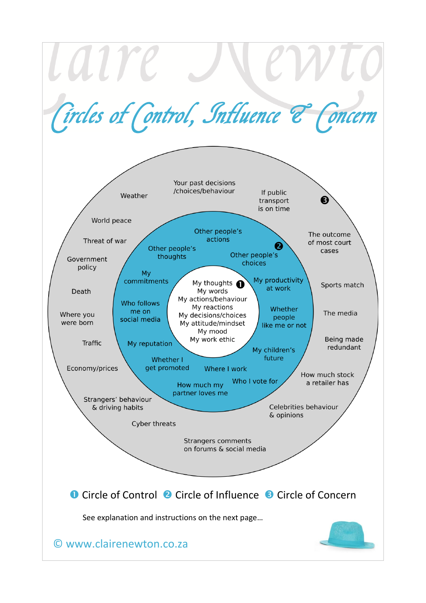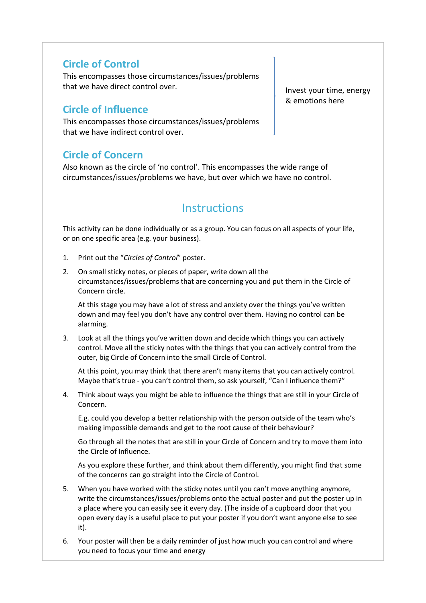## **Circle of Control**

This encompasses those circumstances/issues/problems that we have direct control over.

## **Circle of Influence**

This encompasses those circumstances/issues/problems that we have indirect control over.

## **Circle of Concern**

Also known as the circle of 'no control'. This encompasses the wide range of circumstances/issues/problems we have, but over which we have no control.

## **Instructions**

This activity can be done individually or as a group. You can focus on all aspects of your life, or on one specific area (e.g. your business).

- 1. Print out the "*Circles of Control*" poster.
- 2. On small sticky notes, or pieces of paper, write down all the circumstances/issues/problems that are concerning you and put them in the Circle of Concern circle.

At this stage you may have a lot of stress and anxiety over the things you've written down and may feel you don't have any control over them. Having no control can be alarming.

3. Look at all the things you've written down and decide which things you can actively control. Move all the sticky notes with the things that you can actively control from the outer, big Circle of Concern into the small Circle of Control.

At this point, you may think that there aren't many items that you can actively control. Maybe that's true - you can't control them, so ask yourself, "Can I influence them?"

4. Think about ways you might be able to influence the things that are still in your Circle of Concern.

E.g. could you develop a better relationship with the person outside of the team who's making impossible demands and get to the root cause of their behaviour?

Go through all the notes that are still in your Circle of Concern and try to move them into the Circle of Influence.

As you explore these further, and think about them differently, you might find that some of the concerns can go straight into the Circle of Control.

- 5. When you have worked with the sticky notes until you can't move anything anymore, write the circumstances/issues/problems onto the actual poster and put the poster up in a place where you can easily see it every day. (The inside of a cupboard door that you open every day is a useful place to put your poster if you don't want anyone else to see it).
- 6. Your poster will then be a daily reminder of just how much you can control and where you need to focus your time and energy

Invest your time, energy & emotions here